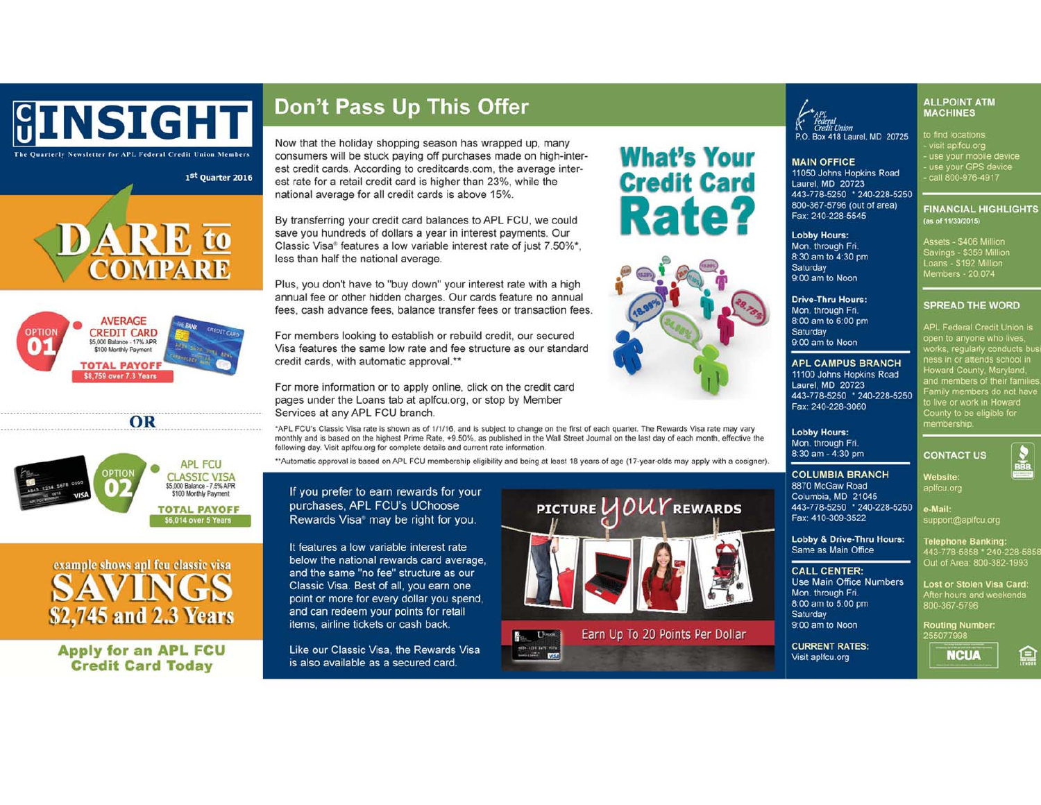

COMPARE

1st Quarter 2016

## Don't Pass Up This Offer

Now that the holiday shopping season has wrapped up, many consumers will be stuck paying off purchases made on high-interest credit cards. According to creditcards.com, the average interest rate for a retail credit card is higher than 23%, while the national average for all credit cards is above 15%.

By transferring your credit card balances to APL FCU, we could save you hundreds of dollars a year in interest payments. Our Classic Visa® features a low variable interest rate of just 7.50%\*. less than half the national average.

Plus, you don't have to "buy down" your interest rate with a high annual fee or other hidden charges. Our cards feature no annual fees, cash advance fees, balance transfer fees or transaction fees.

For members looking to establish or rebuild credit, our secured Visa features the same low rate and fee structure as our standard credit cards, with automatic approval.\*\*

For more information or to apply online, click on the credit card pages under the Loans tab at aplfcu.org, or stop by Member Services at any APL FCU branch.

\*APL FCU's Classic Visa rate is shown as of 1/1/16, and is subject to change on the first of each quarter. The Rewards Visa rate may vary monthly and is based on the highest Prime Rate, +9.50%, as published in the Wall Street Journal on the last day of each month, effective the following day. Visit aplfcu.org for complete details and current rate information.

\*\*Automatic approval is based on APL FCU membership eligibility and being at least 18 years of age (17-year-olds may apply with a cosigner)

If you prefer to earn rewards for your purchases, APL FCU's UChoose Rewards Visa® may be right for you.

items, airline tickets or cash back.

Like our Classic Visa, the Rewards Visa is also available as a secured card.

It features a low variable interest rate below the national rewards card average. and the same "no fee" structure as our Classic Visa. Best of all, you earn one point or more for every dollar you spend, and can redeem your points for retail

PICTURE UOUY REWARDS



P.O. Box 418 Laurel, MD 20725

### **MAIN OFFICE**

11050 Johns Hopkins Road Laurel, MD 20723 443-778-5250 \* 240-228-5250 800-367-5796 (out of area) Fax: 240-228-5545

### **Lobby Hours:**

Mon. through Fri. 8:30 am to 4:30 pm Saturday 9:00 am to Noon

**Drive-Thru Hours:** Mon. through Fri. 8:00 am to 6:00 pm Saturday 9:00 am to Noon

### **APL CAMPUS BRANCH** 11100 Johns Hopkins Road Laurel, MD 20723 443-778-5250 \* 240-228-5250 Fax: 240-228-3060

### **Lobby Hours:** Mon. through Fri. 8:30 am - 4:30 pm

Same as Main Office

**Use Main Office Numbers** 

**CALL CENTER:** 

Mon. through Fri.

9:00 am to Noon

Saturday

8:00 am to 5:00 pm

**COLUMBIA BRANCH** 8870 McGaw Road Columbia, MD 21045 443-778-5250 \* 240-228-5250 Fax: 410-309-3522

support@aplfcu.org Lobby & Drive-Thru Hours:

Telephone Banking: 443-778-5858 \* 240-228-5858<br>Out of Area: 800-382-1993

**Lost or Stolen Visa Card:** After hours and weekends<br>800-367-5796

**Routing Number:** 255077998

**CURRENT RATES:** Visit aplfcu.org





**What's Your** 

**Credit Card** 



**AVERAGE** 

**CREDIT CARD** 

\$5,000 Balance - 17% APR

\$100 Monthly Payment

**TOTAL PAYOFF** 

\$8,759 over 7.3 Years

OR

example shows apl feu classic visa SAVINGS \$2,745 and 2.3 Years

**Apply for an APL FCU Credit Card Today** 

**MACHINES** to find locations:<br>- visit aplfcu.org<br>- use your mobile device<br>- use your GPS device<br>- call 800-976-4917

**FINANCIAL HIGHLIGHTS** (as of 11/30/2015)

**ALLPOINT ATM** 

Assets - \$406 Million Savings - \$359 Million<br>Loans - \$192 Million<br>Members - 20,074

**SPREAD THE WORD** 

APL Federal Credit Union is open to anyone who lives,<br>works, regularly conducts bu<br>ness in or attends school in<br>Howard County, Maryland,<br>and members of their familie<br>Family members do not have<br>to live or work in Howard<br>County to be eligible for<br>membe

 $\frac{8}{100}$ 

**CONTACT US** Website:

aplfcu.org

e-Mail: